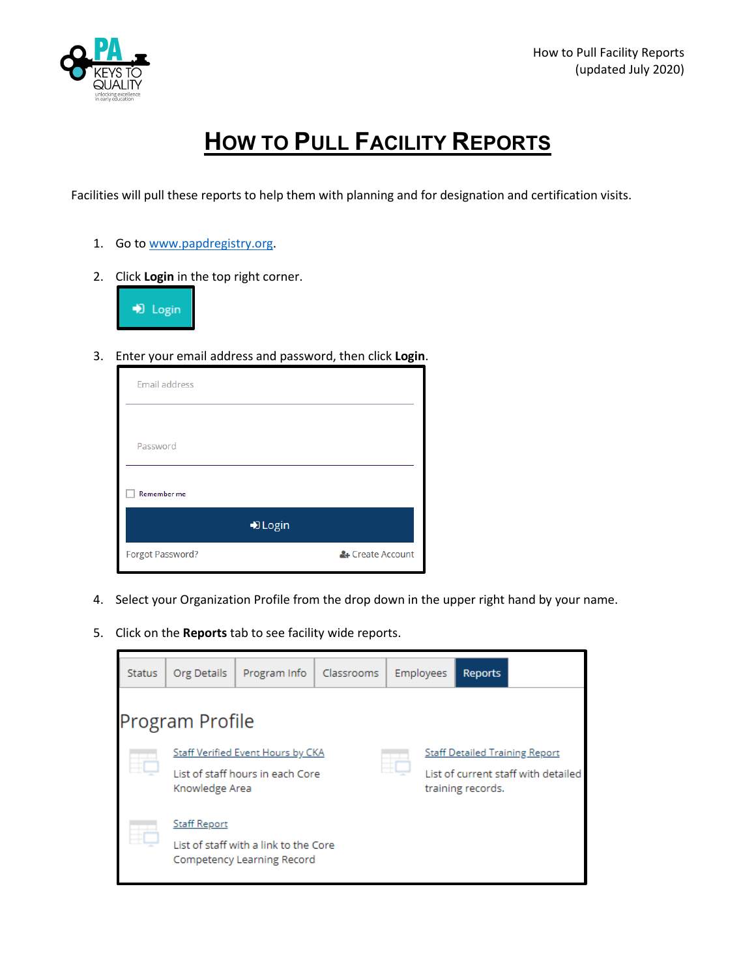

## **HOW TO PULL FACILITY REPORTS**

Facilities will pull these reports to help them with planning and for designation and certification visits.

- 1. Go to [www.papdregistry.org.](http://www.papdregistry.org/)
- 2. Click **Login** in the top right corner.



3. Enter your email address and password, then click **Login**.

| <b>Email address</b> |                  |  |
|----------------------|------------------|--|
|                      |                  |  |
| Password             |                  |  |
| <b>Remember me</b>   |                  |  |
| D Login              |                  |  |
| Forgot Password?     | & Create Account |  |

- 4. Select your Organization Profile from the drop down in the upper right hand by your name.
- 5. Click on the **Reports** tab to see facility wide reports.